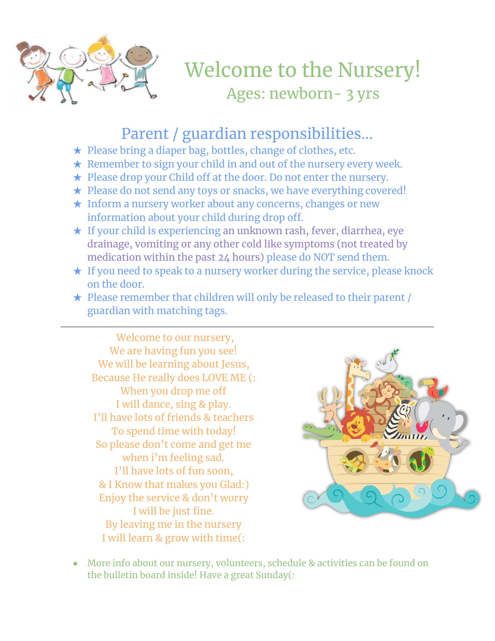

Welcome to the Nursery! Ages: newborn- 3 yrs

## Parent / guardian responsibilities…

- ★ Please bring a diaper bag, bottles, change of clothes, etc.
- $\star$  Remember to sign your child in and out of the nursery every week.
- ★ Please drop your Child off at the door. Do not enter the nursery.
- ★ Please do not send any toys or snacks, we have everything covered!
- ★ Inform a nursery worker about any concerns, changes or new information about your child during drop off.
- ★ If your child is experiencing an unknown rash, fever, diarrhea, eye drainage, vomiting or any other cold like symptoms (not treated by medication within the past 24 hours) please do NOT send them.
- ★ If you need to speak to a nursery worker during the service, please knock on the door.
- ★ Please remember that children will only be released to their parent / guardian with matching tags.

Welcome to our nursery, We are having fun you see! We will be learning about Jesus, Because He really does LOVE ME (: When you drop me off I will dance, sing & play. I'll have lots of friends & teachers To spend time with today! So please don't come and get me when i'm feeling sad. I'll have lots of fun soon, & I Know that makes you Glad:) Enjoy the service & don't worry I will be just fine. By leaving me in the nursery I will learn & grow with time(:



• More info about our nursery, volunteers, schedule & activities can be found on the bulletin board inside! Have a great Sunday(: